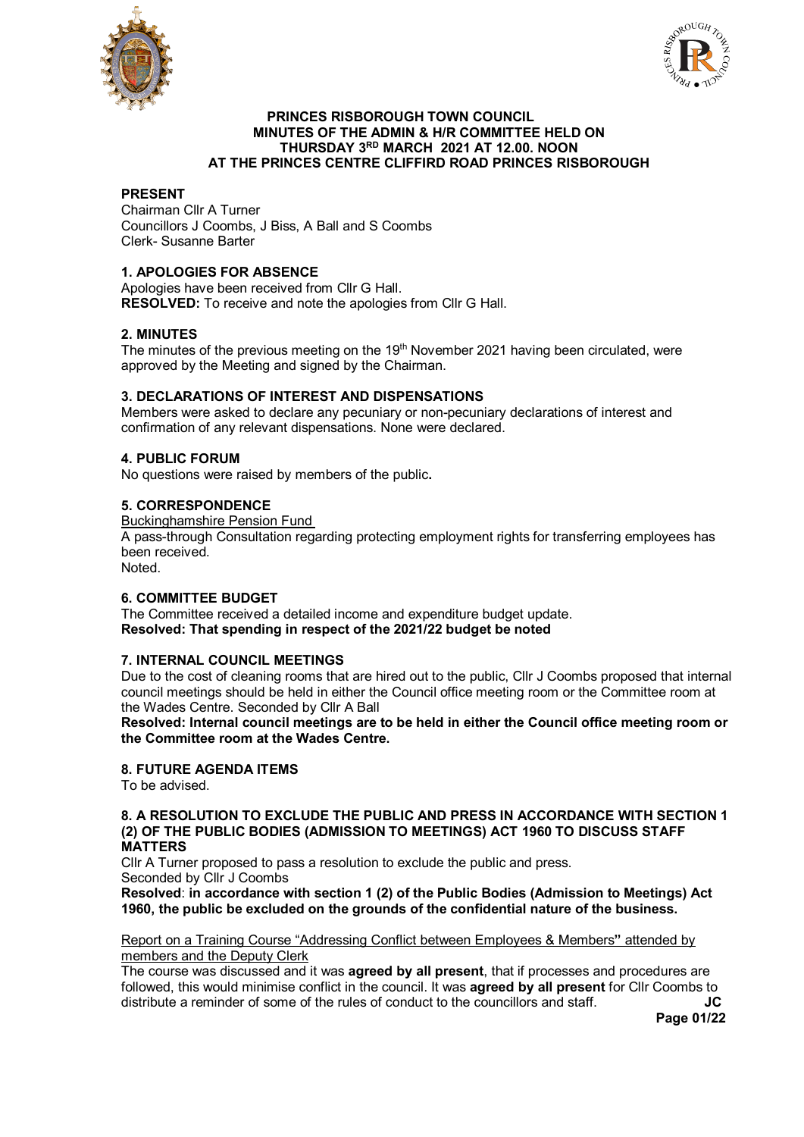



### **PRINCES RISBOROUGH TOWN COUNCIL MINUTES OF THE ADMIN & H/R COMMITTEE HELD ON THURSDAY 3RD MARCH 2021 AT 12.00. NOON AT THE PRINCES CENTRE CLIFFIRD ROAD PRINCES RISBOROUGH**

# **PRESENT**

Chairman Cllr A Turner Councillors J Coombs, J Biss, A Ball and S Coombs Clerk- Susanne Barter

## **1. APOLOGIES FOR ABSENCE**

Apologies have been received from Cllr G Hall. **RESOLVED:** To receive and note the apologies from Cllr G Hall.

# **2. MINUTES**

The minutes of the previous meeting on the  $19<sup>th</sup>$  November 2021 having been circulated, were approved by the Meeting and signed by the Chairman.

## **3. DECLARATIONS OF INTEREST AND DISPENSATIONS**

Members were asked to declare any pecuniary or non-pecuniary declarations of interest and confirmation of any relevant dispensations. None were declared.

## **4. PUBLIC FORUM**

No questions were raised by members of the public**.**

#### **5. CORRESPONDENCE**

Buckinghamshire Pension Fund

A pass-through Consultation regarding protecting employment rights for transferring employees has been received.

Noted.

## **6. COMMITTEE BUDGET**

The Committee received a detailed income and expenditure budget update. **Resolved: That spending in respect of the 2021/22 budget be noted**

### **7. INTERNAL COUNCIL MEETINGS**

Due to the cost of cleaning rooms that are hired out to the public, Cllr J Coombs proposed that internal council meetings should be held in either the Council office meeting room or the Committee room at the Wades Centre. Seconded by Cllr A Ball

**Resolved: Internal council meetings are to be held in either the Council office meeting room or the Committee room at the Wades Centre.**

# **8. FUTURE AGENDA ITEMS**

To be advised.

#### **8. A RESOLUTION TO EXCLUDE THE PUBLIC AND PRESS IN ACCORDANCE WITH SECTION 1 (2) OF THE PUBLIC BODIES (ADMISSION TO MEETINGS) ACT 1960 TO DISCUSS STAFF MATTERS**

Cllr A Turner proposed to pass a resolution to exclude the public and press. Seconded by Cllr J Coombs

**Resolved**: **in accordance with section 1 (2) of the Public Bodies (Admission to Meetings) Act 1960, the public be excluded on the grounds of the confidential nature of the business.** 

Report on a Training Course "Addressing Conflict between Employees & Members**"** attended by members and the Deputy Clerk

The course was discussed and it was **agreed by all present**, that if processes and procedures are followed, this would minimise conflict in the council. It was **agreed by all present** for Cllr Coombs to distribute a reminder of some of the rules of conduct to the councillors and staff. **JC**